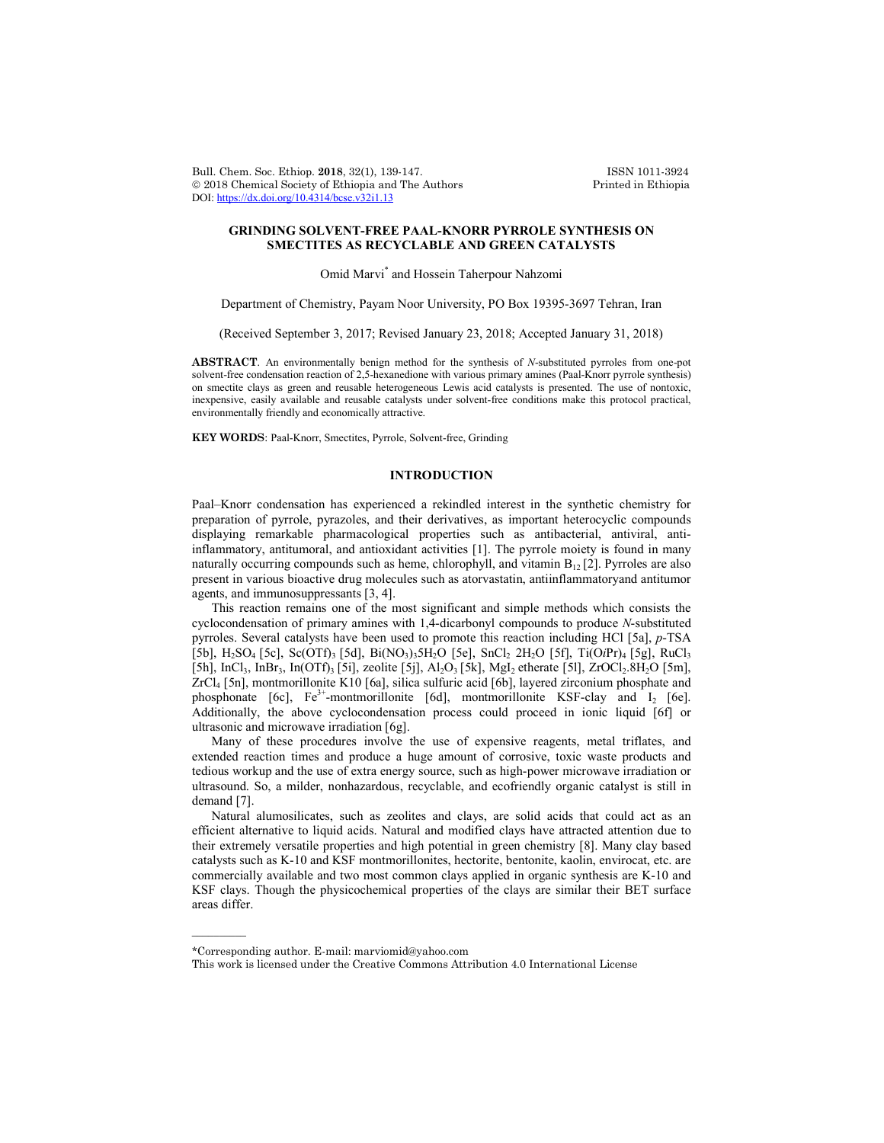Bull. Chem. Soc. Ethiop. 2018, 32(1), 139-147. ISSN 1011-3924<br>
© 2018 Chemical Society of Ethiopia and The Authors Printed in Ethiopia  $© 2018$  Chemical Society of Ethiopia and The Authors DOI: https://dx.doi.org/10.4314/bcse.v32i1.13

# **GRINDING SOLVENT-FREE PAAL-KNORR PYRROLE SYNTHESIS ON SMECTITES AS RECYCLABLE AND GREEN CATALYSTS**

Omid Marvi\* and Hossein Taherpour Nahzomi

Department of Chemistry, Payam Noor University, PO Box 19395-3697 Tehran, Iran

(Received September 3, 2017; Revised January 23, 2018; Accepted January 31, 2018)

**ABSTRACT**. An environmentally benign method for the synthesis of *N*-substituted pyrroles from one-pot solvent-free condensation reaction of 2,5-hexanedione with various primary amines (Paal-Knorr pyrrole synthesis) on smectite clays as green and reusable heterogeneous Lewis acid catalysts is presented. The use of nontoxic, inexpensive, easily available and reusable catalysts under solvent-free conditions make this protocol practical, environmentally friendly and economically attractive.

**KEY WORDS**: Paal-Knorr, Smectites, Pyrrole, Solvent-free, Grinding

### **INTRODUCTION**

Paal–Knorr condensation has experienced a rekindled interest in the synthetic chemistry for preparation of pyrrole, pyrazoles, and their derivatives, as important heterocyclic compounds displaying remarkable pharmacological properties such as antibacterial, antiviral, antiinflammatory, antitumoral, and antioxidant activities [1]. The pyrrole moiety is found in many naturally occurring compounds such as heme, chlorophyll, and vitamin  $B_{12}$  [2]. Pyrroles are also present in various bioactive drug molecules such as atorvastatin, antiinflammatoryand antitumor agents, and immunosuppressants [3, 4].

This reaction remains one of the most significant and simple methods which consists the cyclocondensation of primary amines with 1,4-dicarbonyl compounds to produce *N*-substituted pyrroles. Several catalysts have been used to promote this reaction including HCl [5a], *p*-TSA  $[5b]$ , H<sub>2</sub>SO<sub>4</sub> [5c], Sc(OTf)<sub>3</sub> [5d], Bi(NO<sub>3</sub>)<sub>3</sub>5H<sub>2</sub>O [5e], SnCl<sub>2</sub> 2H<sub>2</sub>O [5f], Ti(O*i*Pr)<sub>4</sub> [5g], RuCl<sub>3</sub> [5h], InCl<sub>3</sub>, InBr<sub>3</sub>, In(OTf)<sub>3</sub> [5i], zeolite [5j], Al<sub>2</sub>O<sub>3</sub> [5k], MgI<sub>2</sub> etherate [5l], ZrOCl<sub>2</sub>.8H<sub>2</sub>O [5m], ZrCl4 [5n], montmorillonite K10 [6a], silica sulfuric acid [6b], layered zirconium phosphate and phosphonate [6c],  $Fe^{3+}$ -montmorillonite [6d], montmorillonite KSF-clay and  $I_2$  [6e]. Additionally, the above cyclocondensation process could proceed in ionic liquid [6f] or ultrasonic and microwave irradiation [6g].

Many of these procedures involve the use of expensive reagents, metal triflates, and extended reaction times and produce a huge amount of corrosive, toxic waste products and tedious workup and the use of extra energy source, such as high-power microwave irradiation or ultrasound. So, a milder, nonhazardous, recyclable, and ecofriendly organic catalyst is still in demand [7].

Natural alumosilicates, such as zeolites and clays, are solid acids that could act as an efficient alternative to liquid acids. Natural and modified clays have attracted attention due to their extremely versatile properties and high potential in green chemistry [8]. Many clay based catalysts such as K-10 and KSF montmorillonites, hectorite, bentonite, kaolin, envirocat, etc. are commercially available and two most common clays applied in organic synthesis are K-10 and KSF clays. Though the physicochemical properties of the clays are similar their BET surface areas differ.

 $\overline{\phantom{a}}$ 

<sup>\*</sup>Corresponding author. E-mail: marviomid@yahoo.com

This work is licensed under the Creative Commons Attribution 4.0 International License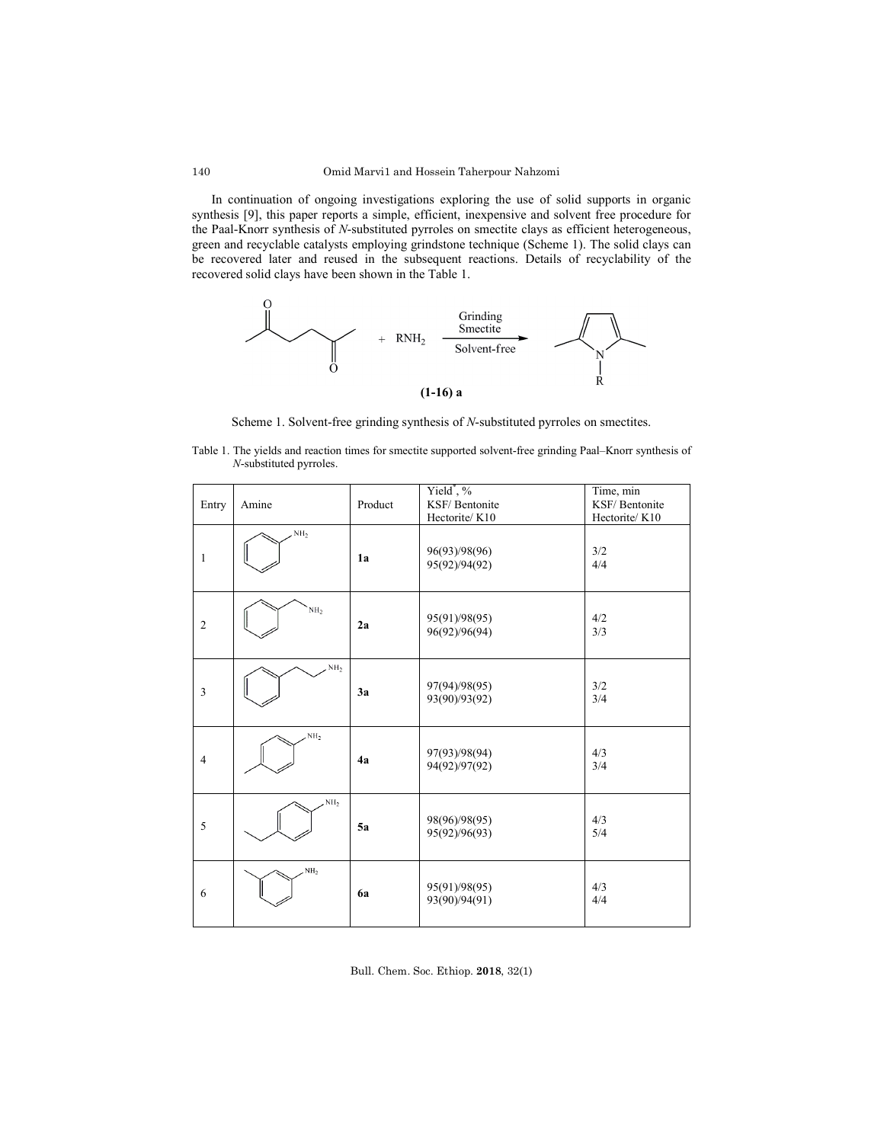In continuation of ongoing investigations exploring the use of solid supports in organic synthesis [9], this paper reports a simple, efficient, inexpensive and solvent free procedure for the Paal-Knorr synthesis of *N*-substituted pyrroles on smectite clays as efficient heterogeneous, green and recyclable catalysts employing grindstone technique (Scheme 1). The solid clays can be recovered later and reused in the subsequent reactions. Details of recyclability of the recovered solid clays have been shown in the Table 1.



Scheme 1. Solvent-free grinding synthesis of *N*-substituted pyrroles on smectites.

Table 1. The yields and reaction times for smectite supported solvent-free grinding Paal–Knorr synthesis of *N*-substituted pyrroles.

| Entry          | Amine           | Product | Yield $^*$ , %<br>KSF/Bentonite<br>Hectorite/K10 | Time, min<br>KSF/Bentonite<br>Hectorite/K10 |  |
|----------------|-----------------|---------|--------------------------------------------------|---------------------------------------------|--|
| 1              | NH <sub>2</sub> | 1a      | 96(93)/98(96)<br>95(92)/94(92)                   | 3/2<br>4/4                                  |  |
| $\overline{c}$ | NH <sub>2</sub> | 2a      | 95(91)/98(95)<br>96(92)/96(94)                   | 4/2<br>3/3                                  |  |
| $\mathfrak{Z}$ | NH <sub>2</sub> | 3a      | 97(94)/98(95)<br>93(90)/93(92)                   | 3/2<br>3/4                                  |  |
| $\overline{4}$ | NH <sub>2</sub> | 4a      | 97(93)/98(94)<br>94(92)/97(92)                   | 4/3<br>3/4                                  |  |
| 5              | NH <sub>2</sub> | 5a      | 98(96)/98(95)<br>95(92)/96(93)                   | 4/3<br>5/4                                  |  |
| 6              | NH <sub>2</sub> | 6a      | 95(91)/98(95)<br>93(90)/94(91)                   | 4/3<br>4/4                                  |  |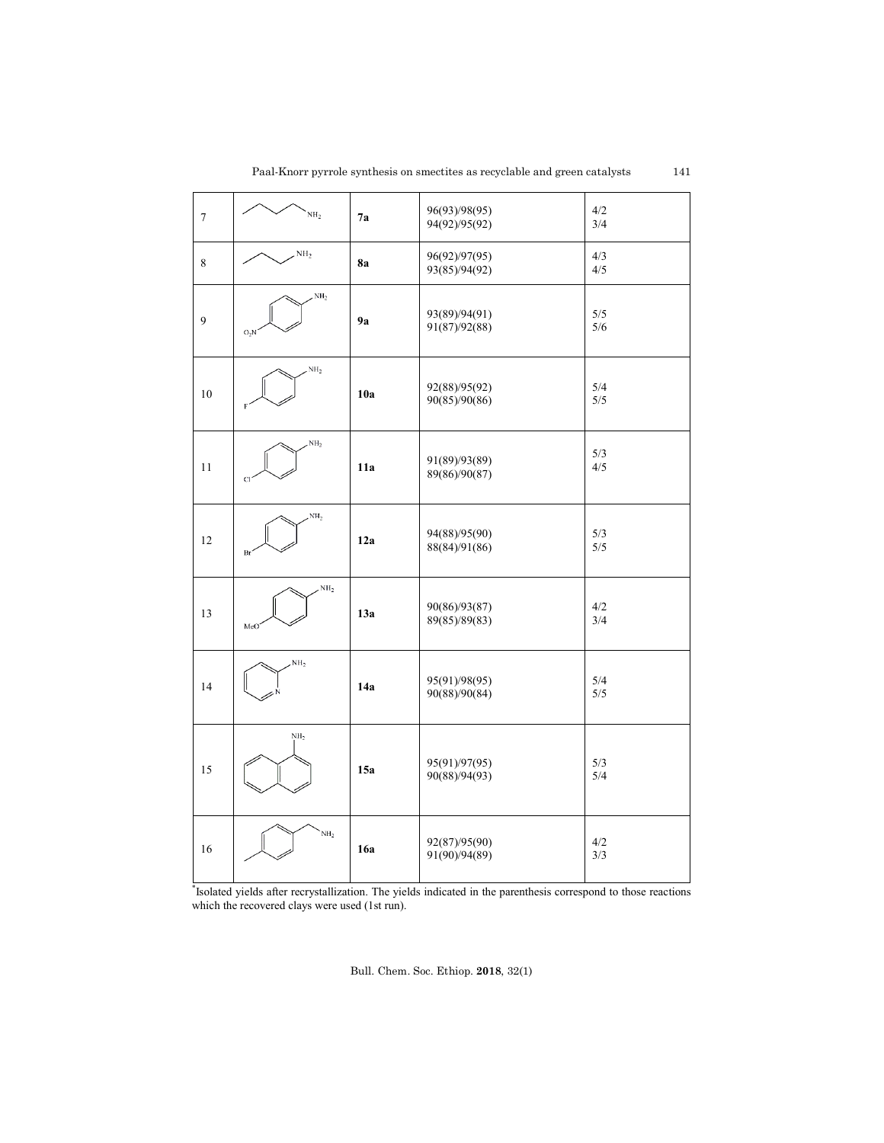| $\tau$  | $\mathrm{NH}_2$           | 7a        | 96(93)/98(95)<br>94(92)/95(92) | 4/2<br>3/4   |  |
|---------|---------------------------|-----------|--------------------------------|--------------|--|
| $\,8\,$ | NH <sub>2</sub>           | <b>8a</b> | 96(92)/97(95)<br>93(85)/94(92) | 4/3<br>4/5   |  |
| 9       | NH <sub>2</sub><br>$O_2N$ | 9а        | 93(89)/94(91)<br>91(87)/92(88) | $5/5$<br>5/6 |  |
| 10      | NH <sub>2</sub>           | 10a       | 92(88)/95(92)<br>90(85)/90(86) | 5/4<br>$5/5$ |  |
| 11      | NH <sub>2</sub><br>Cl     | 11a       | 91(89)/93(89)<br>89(86)/90(87) | 5/3<br>4/5   |  |
| 12      | NH <sub>2</sub><br>Br     | 12a       | 94(88)/95(90)<br>88(84)/91(86) | 5/3<br>5/5   |  |
| 13      | NH <sub>2</sub><br>MeO    | 13a       | 90(86)/93(87)<br>89(85)/89(83) | 4/2<br>3/4   |  |
| 14      | NH <sub>2</sub>           | 14a       | 95(91)/98(95)<br>90(88)/90(84) | 5/4<br>5/5   |  |
| 15      | $\mathrm{NH}_2$           | 15a       | 95(91)/97(95)<br>90(88)/94(93) | 5/3<br>5/4   |  |
| 16      | NH <sub>2</sub>           | 16a       | 92(87)/95(90)<br>91(90)/94(89) | 4/2<br>3/3   |  |

\* Isolated yields after recrystallization. The yields indicated in the parenthesis correspond to those reactions which the recovered clays were used (1st run).

Bull. Chem. Soc. Ethiop. **2018**, 32(1)

141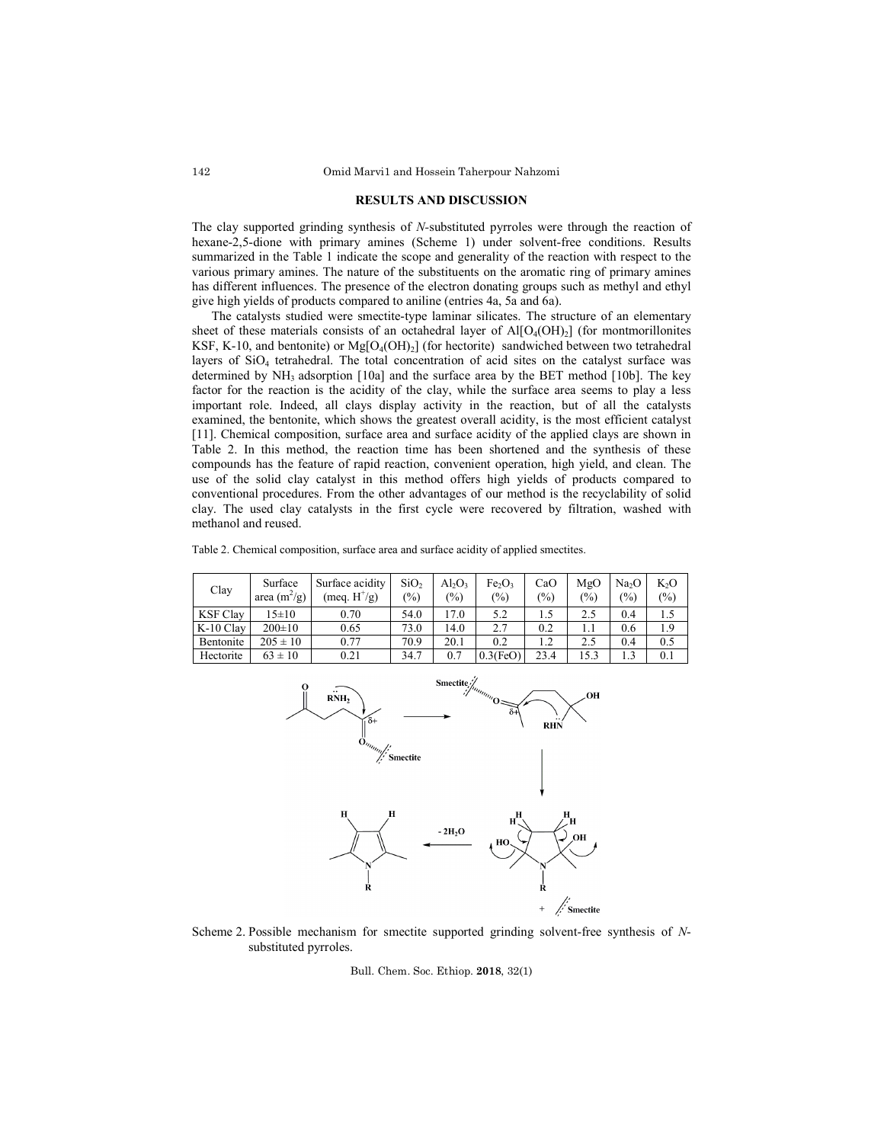### **RESULTS AND DISCUSSION**

The clay supported grinding synthesis of *N-*substituted pyrroles were through the reaction of hexane-2,5-dione with primary amines (Scheme 1) under solvent-free conditions. Results summarized in the Table 1 indicate the scope and generality of the reaction with respect to the various primary amines. The nature of the substituents on the aromatic ring of primary amines has different influences. The presence of the electron donating groups such as methyl and ethyl give high yields of products compared to aniline (entries 4a, 5a and 6a).

The catalysts studied were smectite-type laminar silicates. The structure of an elementary sheet of these materials consists of an octahedral layer of  $AI[O_4(OH)_2]$  (for montmorillonites KSF, K-10, and bentonite) or  $Mg[O_4(OH)_2]$  (for hectorite) sandwiched between two tetrahedral layers of SiO4 tetrahedral. The total concentration of acid sites on the catalyst surface was determined by NH<sub>3</sub> adsorption [10a] and the surface area by the BET method [10b]. The key factor for the reaction is the acidity of the clay, while the surface area seems to play a less important role. Indeed, all clays display activity in the reaction, but of all the catalysts examined, the bentonite, which shows the greatest overall acidity, is the most efficient catalyst [11]. Chemical composition, surface area and surface acidity of the applied clays are shown in Table 2. In this method, the reaction time has been shortened and the synthesis of these compounds has the feature of rapid reaction, convenient operation, high yield, and clean. The use of the solid clay catalyst in this method offers high yields of products compared to conventional procedures. From the other advantages of our method is the recyclability of solid clay. The used clay catalysts in the first cycle were recovered by filtration, washed with methanol and reused.

Table 2. Chemical composition, surface area and surface acidity of applied smectites.

| Clay            | Surface<br>area $(m^2/g)$ | Surface acidity<br>(meg. $H^{\dagger}/g$ ) | SiO <sub>2</sub><br>(%) | Al2O3<br>(%) | Fe <sub>2</sub> O <sub>3</sub><br>(%) | CaO<br>(%) | MgO<br>$\frac{(0)}{0}$ | Na <sub>2</sub> O<br>(9/0) | $K_2O$<br>(%) |
|-----------------|---------------------------|--------------------------------------------|-------------------------|--------------|---------------------------------------|------------|------------------------|----------------------------|---------------|
| <b>KSF Clay</b> | $15\pm10$                 | 0.70                                       | 54.0                    | 17.0         | 5.2                                   |            | 2.5                    | 0.4                        |               |
| K-10 Clay       | $200 \pm 10$              | 0.65                                       | 73.0                    | 14.0         | 2.7                                   | 0.2        |                        | 0.6                        | 1.9           |
| Bentonite       | $205 \pm 10$              | 0.77                                       | 70.9                    | 20.1         | 0.2                                   | 1.2        | 2.5                    | 0.4                        | 0.5           |
| Hectorite       | $63 \pm 10$               | 0.21                                       | 34.7                    | 0.7          | $0.3$ (FeO)                           | 23.4       | 5.3                    |                            | 0.1           |



Scheme 2. Possible mechanism for smectite supported grinding solvent-free synthesis of *N*substituted pyrroles.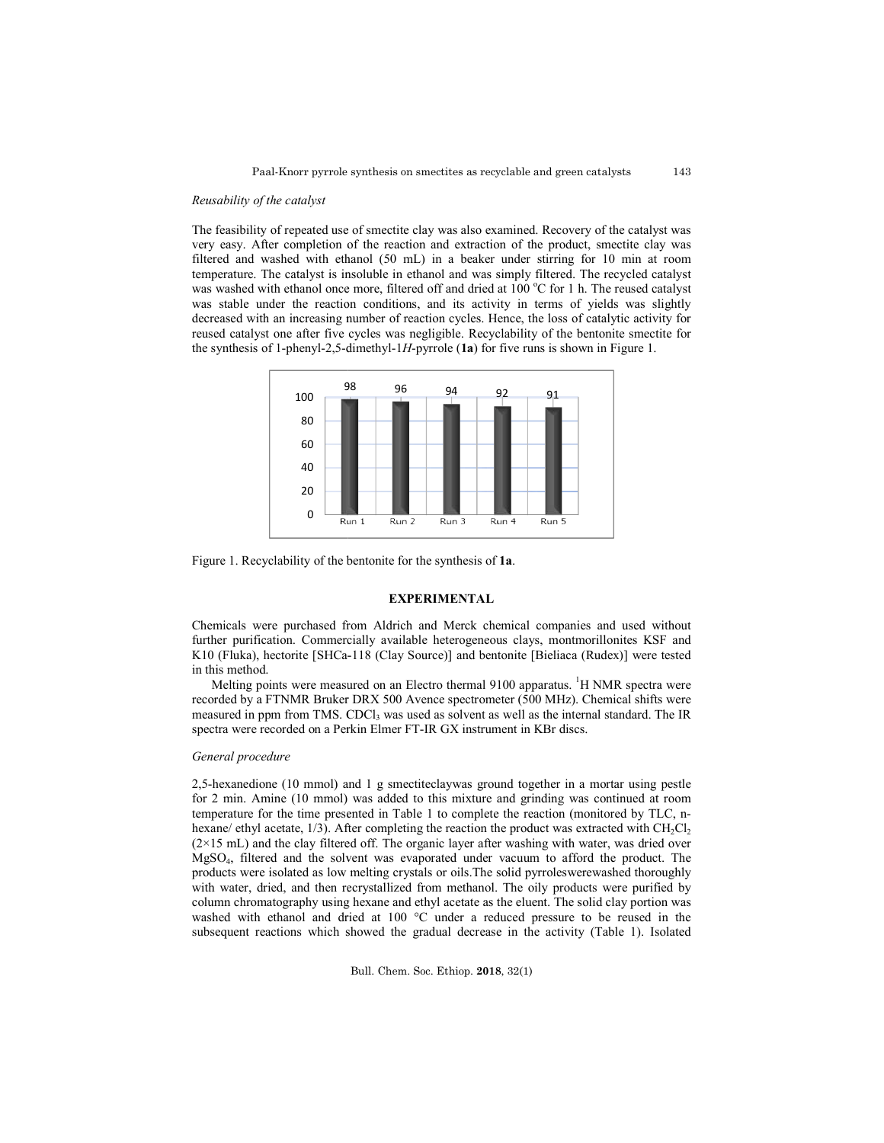143

#### *Reusability of the catalyst*

The feasibility of repeated use of smectite clay was also examined. Recovery of the catalyst was very easy. After completion of the reaction and extraction of the product, smectite clay was filtered and washed with ethanol (50 mL) in a beaker under stirring for 10 min at room temperature. The catalyst is insoluble in ethanol and was simply filtered. The recycled catalyst was washed with ethanol once more, filtered off and dried at 100 °C for 1 h. The reused catalyst was stable under the reaction conditions, and its activity in terms of yields was slightly decreased with an increasing number of reaction cycles. Hence, the loss of catalytic activity reused catalyst one after five cycles was negligible. Recyclability of the bentonite smectite for the synthesis of 1-phenyl-2,5-dimethyl-1*H*-pyrrole (1a) for five runs is shown in Figure 1. easy. After completion of the reaction and extraction of the product, smectite clay was<br>ed and washed with ethanol (50 mL) in a beaker under stirring for 10 min at room<br>erature. The catalyst is insoluble in ethanol and was



Figure 1. Recyclability of the bentonite for the synthesis of **1a**.

### **EXPERIMENTAL**

Chemicals were purchased from Aldrich and Merck chemical companies and used without further purification. Commercially available heterogeneous clays, montmorillonites KSF and Chemicals were purchased from Aldrich and Merck chemical companies and used without<br>further purification. Commercially available heterogeneous clays, montmorillonites KSF and<br>K10 (Fluka), hectorite [SHCa-118 (Clay Source)] in this method.

Melting points were measured on an Electro thermal 9100 apparatus. <sup>1</sup>H NMR spectra were recorded by a FTNMR Bruker DRX 500 Avence spectrometer (500 MHz). Chemical shifts were measured in ppm from TMS. CDCl<sub>3</sub> was used as solvent as well as the internal standard. The IR spectra were recorded on a Perkin Elmer FT-IR GX instrument in KBr discs.

#### *General procedure*

2,5-hexanedione (10 mmol) and 1 g smectiteclaywas ground together in a mortar using pestle for 2 min. Amine (10 mmol) was added to this mixture and grinding was continued at room temperature for the time presented in Table 1 to complete the reaction (monitored by TLC, n hexane/ ethyl acetate, 1/3). After completing the reaction the product was extracted with CH  $(2\times15 \text{ mL})$  and the clay filtered off. The organic layer after washing with water, was dried over  $(2\times15 \text{ mL})$  and the clay filtered off. The organic layer after washing with water, was dried over MgSO<sub>4</sub>, filtered and the solvent was evaporated under vacuum to afford the product. The products were isolated as low melting crystals or oils. The solid pyrroleswerewashed thoroughly with water, dried, and then recrystallized from methanol. The oily products were purified by with water, dried, and then recrystallized from methanol. The oily products were purified by column chromatography using hexane and ethyl acetate as the eluent. The solid clay portion was washed with ethanol and dried at 100 °C under a reduced pressure to be reused in the subsequent reactions which showed the gradual decrease in the activity (Table 1). Isolated 2,5-hexanedione (10 mmol) and 1 g smectiteclaywas ground together in a mortar using p for 2 min. Amine (10 mmol) was added to this mixture and grinding was continued at r temperature for the time presented in Table 1 to c 96 94 92 91<br>
1 Run 2 Run 3 Run 4 Run 5<br>
1 Run 2 Run 3 Run 4 Run 5<br>
entonite for the synthesis of 1a.<br> **EXPERIMENTAL**<br>
om Aldrich and Merck chemical companies and used<br>
ially available heterogeneous clays, montmorillonites  $\mathrm{CH_2Cl_2}$ were isolated as low melting crystals or oils. The solid pyrroleswerewashed<br>er, dried, and then recrystallized from methanol. The oily products were<br>thromatography using hexane and ethyl acetate as the eluent. The solid c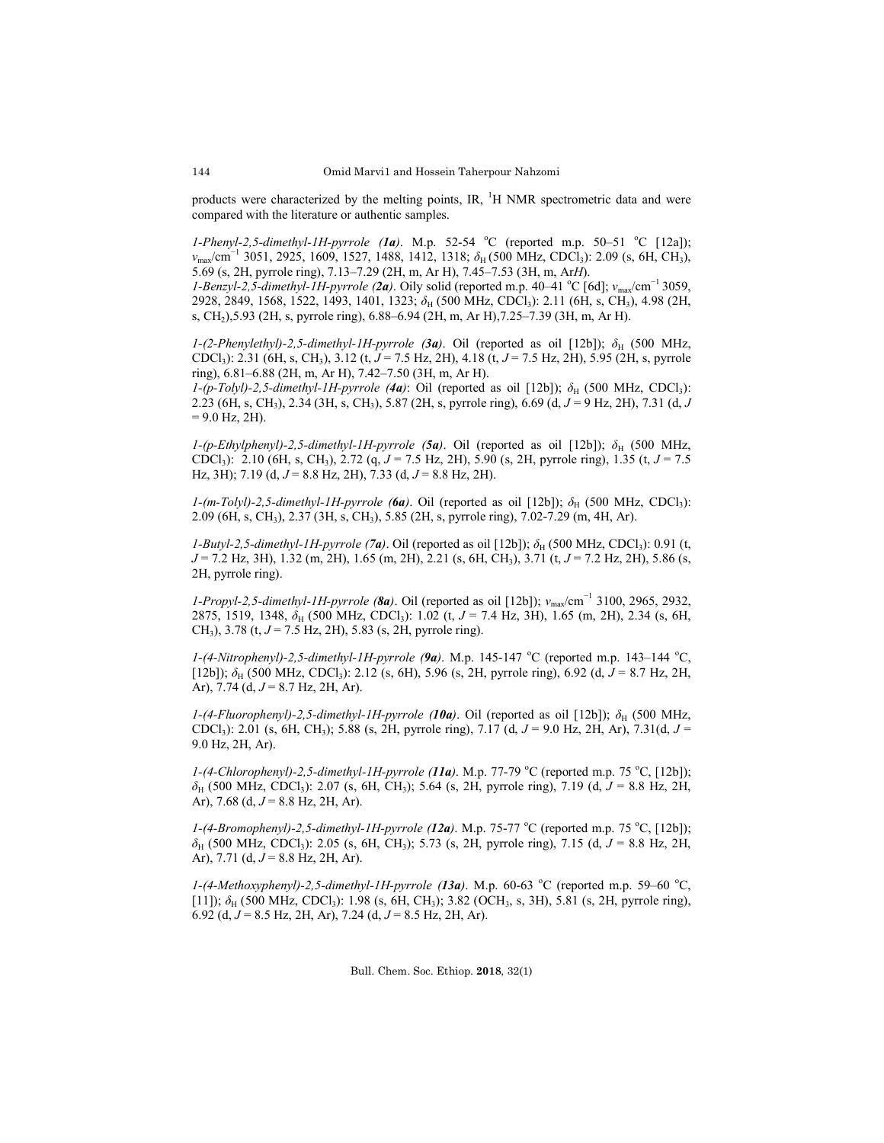products were characterized by the melting points, IR,  $^1$ H NMR spectrometric data and were compared with the literature or authentic samples.

*1-Phenyl-2,5-dimethyl-1H-pyrrole (1a)*. M.p. 52-54 °C (reported m.p. 50–51 °C [12a]); *ν*<sub>max</sub>/cm<sup>−1</sup> 3051, 2925, 1609, 1527, 1488, 1412, 1318;  $\delta$ <sub>H</sub> (500 MHz, CDCl<sub>3</sub>): 2.09 (s, 6H, CH<sub>3</sub>), 5.69 (s, 2H, pyrrole ring), 7.13–7.29 (2H, m, Ar H), 7.45–7.53 (3H, m, Ar*H*).

*1-Benzyl-2,5-dimethyl-1H-pyrrole (2a)*. Oily solid (reported m.p. 40–41 °C [6d]; *v*<sub>max</sub>/cm<sup>-1</sup> 3059, 2928, 2849, 1568, 1522, 1493, 1401, 1323; δ<sub>H</sub> (500 MHz, CDCl<sub>3</sub>): 2.11 (6H, s, CH<sub>3</sub>), 4.98 (2H, s, CH2),5.93 (2H, s, pyrrole ring), 6.88–6.94 (2H, m, Ar H),7.25–7.39 (3H, m, Ar H).

 $1-(2-Phenylethvl)-2,5-dimethvl-1H-pvrrole$  (3a). Oil (reported as oil [12b]);  $\delta_H$  (500 MHz, CDCl3): 2.31 (6H, s, CH3), 3.12 (t, *J* = 7.5 Hz, 2H), 4.18 (t, *J* = 7.5 Hz, 2H), 5.95 (2H, s, pyrrole ring), 6.81–6.88 (2H, m, Ar H), 7.42–7.50 (3H, m, Ar H).

 $1-(p-Tolyl)-2,5-dimethyl-1H-pyrrole (4a)$ : Oil (reported as oil [12b]);  $\delta_H$  (500 MHz, CDCl<sub>3</sub>): 2.23 (6H, s, CH3), 2.34 (3H, s, CH3), 5.87 (2H, s, pyrrole ring), 6.69 (d, *J* = 9 Hz, 2H), 7.31 (d, *J*  $= 9.0$  Hz, 2H).

 $1-(p-Ethylphenyl)-2,5-dimethyl-1H-pyrrole (5a)$ . Oil (reported as oil [12b]);  $\delta_{\rm H}$  (500 MHz, CDCl3): 2.10 (6H, s, CH3), 2.72 (q, *J* = 7.5 Hz, 2H), 5.90 (s, 2H, pyrrole ring), 1.35 (t, *J* = 7.5 Hz, 3H); 7.19 (d, *J* = 8.8 Hz, 2H), 7.33 (d, *J* = 8.8 Hz, 2H).

 $1-(m-Tolyl)-2,5-dimethyl-1H-pyrrole (6a)$ . Oil (reported as oil [12b]);  $\delta_H$  (500 MHz, CDCl<sub>3</sub>): 2.09 (6H, s, CH3), 2.37 (3H, s, CH3), 5.85 (2H, s, pyrrole ring), 7.02-7.29 (m, 4H, Ar).

*1-Butyl-2,5-dimethyl-1H-pyrrole (7a)*. Oil (reported as oil [12b]);  $\delta_H$  (500 MHz, CDCl<sub>3</sub>): 0.91 (t, *J* = 7.2 Hz, 3H), 1.32 (m, 2H), 1.65 (m, 2H), 2.21 (s, 6H, CH3), 3.71 (t, *J* = 7.2 Hz, 2H), 5.86 (s, 2H, pyrrole ring).

*1-Propyl-2,5-dimethyl-1H-pyrrole (8a)*. Oil (reported as oil [12b]); *ν*max/cm−1 3100, 2965, 2932, 2875, 1519, 1348, δ<sub>H</sub> (500 MHz, CDCl<sub>3</sub>): 1.02 (t, *J* = 7.4 Hz, 3H), 1.65 (m, 2H), 2.34 (s, 6H, CH3), 3.78 (t, *J* = 7.5 Hz, 2H), 5.83 (s, 2H, pyrrole ring).

1-(4-Nitrophenyl)-2,5-dimethyl-1H-pyrrole (9a). M.p. 145-147 °C (reported m.p. 143-144 °C, [12b]);  $\delta_H$  (500 MHz, CDCl<sub>3</sub>): 2.12 (s, 6H), 5.96 (s, 2H, pyrrole ring), 6.92 (d,  $J = 8.7$  Hz, 2H, Ar), 7.74 (d, *J* = 8.7 Hz, 2H, Ar).

 $1-(4-Fluorophenyl)-2,5-dimethyl-1H-pyrrole (10a)$ . Oil (reported as oil [12b]);  $\delta_{\rm H}$  (500 MHz, CDCl3): 2.01 (s, 6H, CH3); 5.88 (s, 2H, pyrrole ring), 7.17 (d, *J* = 9.0 Hz, 2H, Ar), 7.31(d, *J* = 9.0 Hz, 2H, Ar).

*1*-(4-Chlorophenyl)-2,5-dimethyl-1H-pyrrole (11a). M.p. 77-79 °C (reported m.p. 75 °C, [12b]); *δ*<sup>H</sup> (500 MHz, CDCl3): 2.07 (s, 6H, CH3); 5.64 (s, 2H, pyrrole ring), 7.19 (d, *J* = 8.8 Hz, 2H, Ar), 7.68 (d,  $J = 8.8$  Hz, 2H, Ar).

*1*-(4-Bromophenyl)-2,5-dimethyl-1H-pyrrole (12a). M.p. 75-77 °C (reported m.p. 75 °C, [12b]); *δ*<sup>H</sup> (500 MHz, CDCl3): 2.05 (s, 6H, CH3); 5.73 (s, 2H, pyrrole ring), 7.15 (d, *J* = 8.8 Hz, 2H, Ar), 7.71 (d,  $J = 8.8$  Hz, 2H, Ar).

1-(4-Methoxyphenyl)-2,5-dimethyl-1H-pyrrole (13a). M.p. 60-63 °C (reported m.p. 59-60 °C, [11]);  $\delta_H$  (500 MHz, CDCl<sub>3</sub>): 1.98 (s, 6H, CH<sub>3</sub>); 3.82 (OCH<sub>3</sub>, s, 3H), 5.81 (s, 2H, pyrrole ring), 6.92 (d, *J* = 8.5 Hz, 2H, Ar), 7.24 (d, *J* = 8.5 Hz, 2H, Ar).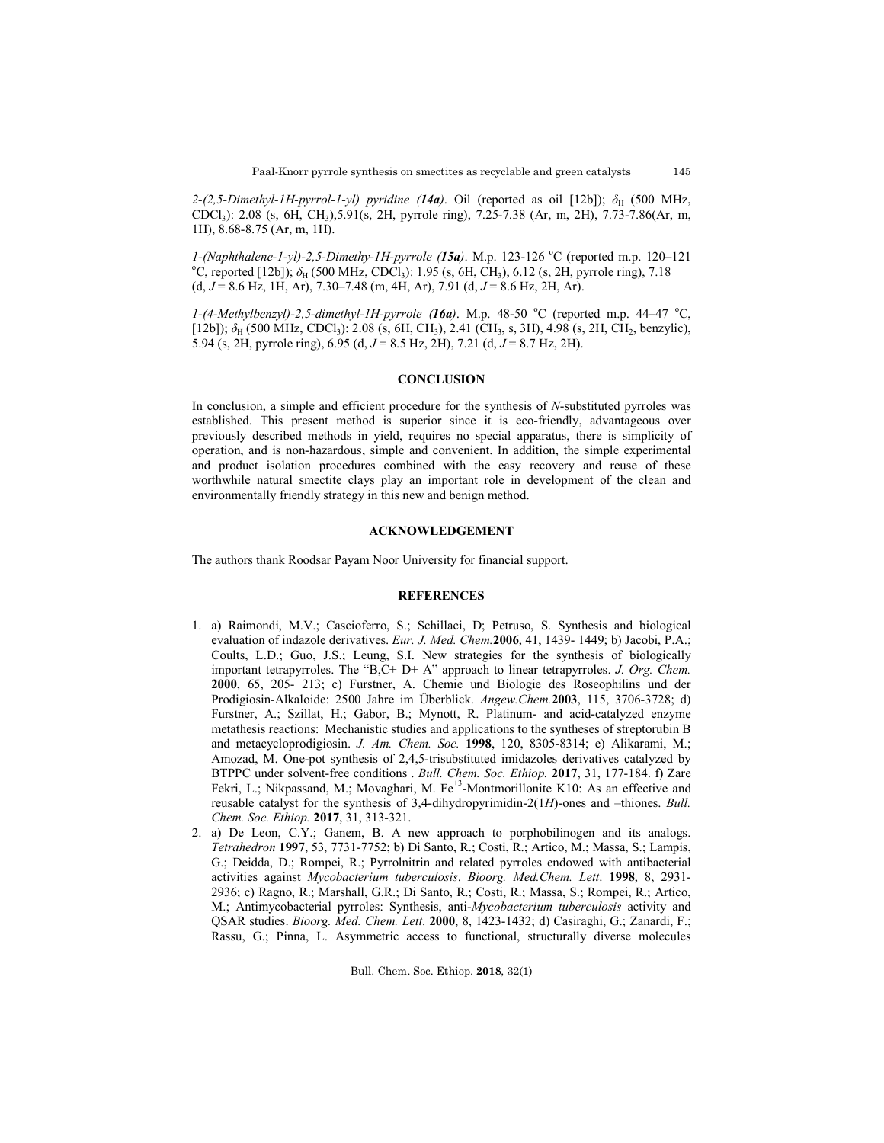145

*2-(2,5-Dimethyl-1H-pyrrol-1-yl) pyridine (14a)*. Oil (reported as oil [12b]);  $δ$ <sub>H</sub> (500 MHz, CDCl3): 2.08 (s, 6H, CH3),5.91(s, 2H, pyrrole ring), 7.25-7.38 (Ar, m, 2H), 7.73-7.86(Ar, m, 1H), 8.68-8.75 (Ar, m, 1H).

*1*-(Naphthalene-1-yl)-2,5-Dimethy-1H-pyrrole (**15a**). M.p. 123-126 °C (reported m.p. 120–121 or reported [12b]):  $\frac{1}{2}$  (500 MHz CDCl): 1.05 (c. 6H, CH), 6.12 (c. 2H, pyrrole ring), 7.18 <sup>o</sup>C, reported [12b]);  $δ$ <sub>H</sub> (500 MHz, CDCl<sub>3</sub>): 1.95 (s, 6H, CH<sub>3</sub>), 6.12 (s, 2H, pyrrole ring), 7.18 (d, *J* = 8.6 Hz, 1H, Ar), 7.30–7.48 (m, 4H, Ar), 7.91 (d, *J* = 8.6 Hz, 2H, Ar).

1-(4-Methylbenzyl)-2,5-dimethyl-1H-pyrrole (16a). M.p. 48-50 °C (reported m.p. 44-47 °C, [12b]);  $\delta$ <sub>H</sub> (500 MHz, CDCl<sub>3</sub>): 2.08 (s, 6H, CH<sub>3</sub>), 2.41 (CH<sub>3</sub>, s, 3H), 4.98 (s, 2H, CH<sub>2</sub>, benzylic), 5.94 (s, 2H, pyrrole ring), 6.95 (d, *J* = 8.5 Hz, 2H), 7.21 (d, *J* = 8.7 Hz, 2H).

## **CONCLUSION**

In conclusion, a simple and efficient procedure for the synthesis of *N*-substituted pyrroles was established. This present method is superior since it is eco-friendly, advantageous over previously described methods in yield, requires no special apparatus, there is simplicity of operation, and is non-hazardous, simple and convenient. In addition, the simple experimental and product isolation procedures combined with the easy recovery and reuse of these worthwhile natural smectite clays play an important role in development of the clean and environmentally friendly strategy in this new and benign method.

## **ACKNOWLEDGEMENT**

The authors thank Roodsar Payam Noor University for financial support.

### **REFERENCES**

- 1. a) Raimondi, M.V.; Cascioferro, S.; Schillaci, D; Petruso, S. Synthesis and biological evaluation of indazole derivatives. *Eur. J. Med. Chem.***2006**, 41, 1439- 1449; b) Jacobi, P.A.; Coults, L.D.; Guo, J.S.; Leung, S.I. New strategies for the synthesis of biologically important tetrapyrroles. The "B,C+ D+ A" approach to linear tetrapyrroles. *J. Org. Chem.* **2000**, 65, 205- 213; c) Furstner, A. Chemie und Biologie des Roseophilins und der Prodigiosin-Alkaloide: 2500 Jahre im Überblick. *Angew.Chem.***2003**, 115, 3706-3728; d) Furstner, A.; Szillat, H.; Gabor, B.; Mynott, R. Platinum- and acid-catalyzed enzyme metathesis reactions:  Mechanistic studies and applications to the syntheses of streptorubin B and metacycloprodigiosin. *J. Am. Chem. Soc.* **1998**, 120, 8305-8314; e) Alikarami, M.; Amozad, M. One-pot synthesis of 2,4,5-trisubstituted imidazoles derivatives catalyzed by BTPPC under solvent-free conditions . *Bull. Chem. Soc. Ethiop.* **2017**, 31, 177-184. f) Zare Fekri, L.; Nikpassand, M.; Movaghari, M. Fe<sup>+3</sup>-Montmorillonite K10: As an effective and reusable catalyst for the synthesis of 3,4-dihydropyrimidin-2(1*H*)-ones and –thiones. *Bull. Chem. Soc. Ethiop.* **2017**, 31, 313-321.
- 2. a) De Leon, C.Y.; Ganem, B. A new approach to porphobilinogen and its analogs. *Tetrahedron* **1997**, 53, 7731-7752; b) Di Santo, R.; Costi, R.; Artico, M.; Massa, S.; Lampis, G.; Deidda, D.; Rompei, R.; Pyrrolnitrin and related pyrroles endowed with antibacterial activities against *Mycobacterium tuberculosis*. *Bioorg. Med.Chem. Lett*. **1998**, 8, 2931- 2936; c) Ragno, R.; Marshall, G.R.; Di Santo, R.; Costi, R.; Massa, S.; Rompei, R.; Artico, M.; Antimycobacterial pyrroles: Synthesis, anti-*Mycobacterium tuberculosis* activity and QSAR studies. *Bioorg. Med. Chem. Lett*. **2000**, 8, 1423-1432; d) Casiraghi, G.; Zanardi, F.; Rassu, G.; Pinna, L. Asymmetric access to functional, structurally diverse molecules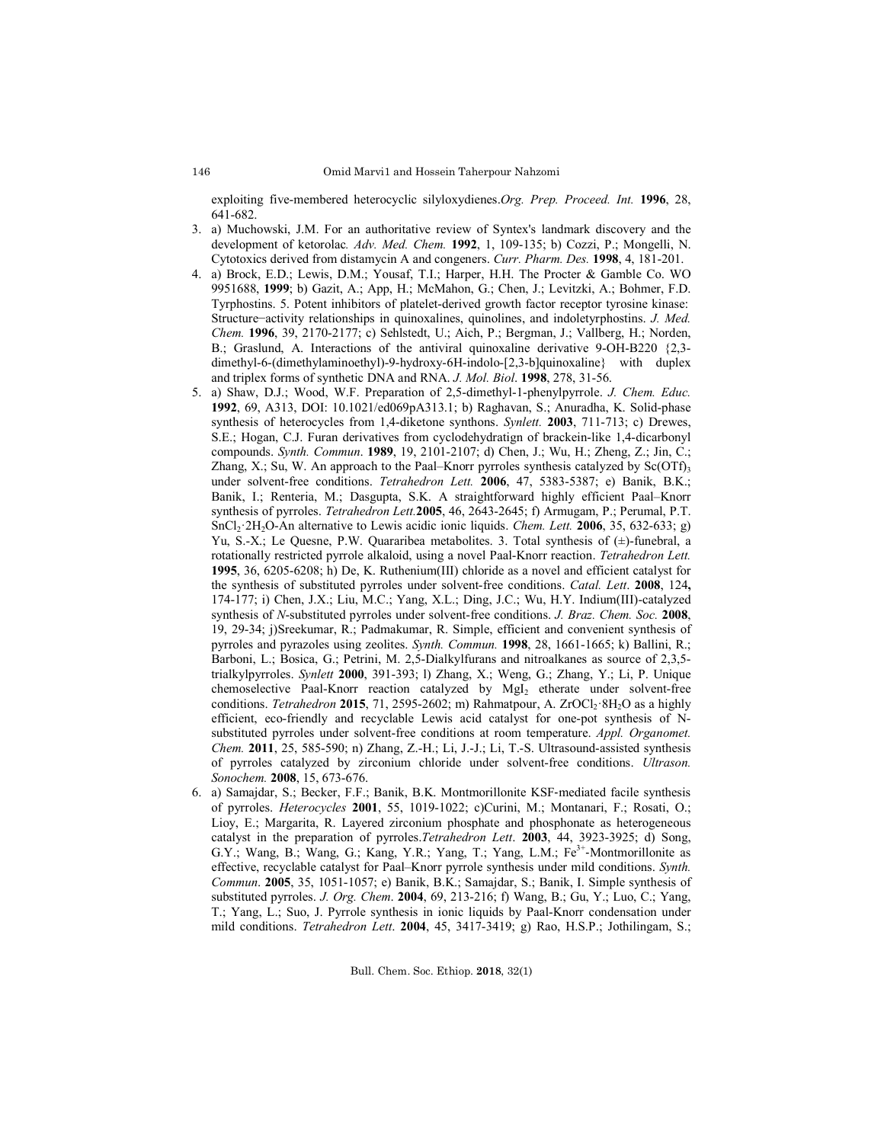exploiting five-membered heterocyclic silyloxydienes.*Org. Prep. Proceed. Int.* **1996**, 28, 641-682.

- 3. a) Muchowski, J.M. For an authoritative review of Syntex's landmark discovery and the development of ketorolac*. Adv. Med. Chem.* **1992**, 1, 109-135; b) Cozzi, P.; Mongelli, N. Cytotoxics derived from distamycin A and congeners. *Curr. Pharm. Des.* **1998**, 4, 181-201.
- 4. a) Brock, E.D.; Lewis, D.M.; Yousaf, T.I.; Harper, H.H. The Procter & Gamble Co. WO 9951688, **1999**; b) Gazit, A.; App, H.; McMahon, G.; Chen, J.; Levitzki, A.; Bohmer, F.D. Tyrphostins. 5. Potent inhibitors of platelet-derived growth factor receptor tyrosine kinase:  Structure−activity relationships in quinoxalines, quinolines, and indoletyrphostins. *J. Med. Chem.* **1996**, 39, 2170-2177; c) Sehlstedt, U.; Aich, P.; Bergman, J.; Vallberg, H.; Norden, B.; Graslund, A. Interactions of the antiviral quinoxaline derivative 9-OH-B220 {2,3 dimethyl-6-(dimethylaminoethyl)-9-hydroxy-6H-indolo-[2,3-b]quinoxaline} with duplex and triplex forms of synthetic DNA and RNA. *J. Mol. Biol*. **1998**, 278, 31-56.
- 5. a) Shaw, D.J.; Wood, W.F. Preparation of 2,5-dimethyl-1-phenylpyrrole. *J. Chem. Educ.* **1992**, 69, A313, DOI: 10.1021/ed069pA313.1; b) Raghavan, S.; Anuradha, K. Solid-phase synthesis of heterocycles from 1,4-diketone synthons. *Synlett.* **2003**, 711-713; c) Drewes, S.E.; Hogan, C.J. Furan derivatives from cyclodehydratign of brackein-like 1,4-dicarbonyl compounds. *Synth. Commun*. **1989**, 19, 2101-2107; d) Chen, J.; Wu, H.; Zheng, Z.; Jin, C.; Zhang, X.; Su, W. An approach to the Paal–Knorr pyrroles synthesis catalyzed by  $Sc(OTf)_{3}$ under solvent-free conditions. *Tetrahedron Lett.* **2006**, 47, 5383-5387; e) Banik, B.K.; Banik, I.; Renteria, M.; Dasgupta, S.K. A straightforward highly efficient Paal–Knorr synthesis of pyrroles. *Tetrahedron Lett.***2005**, 46, 2643-2645; f) Armugam, P.; Perumal, P.T. SnCl<sub>2</sub>·2H<sub>2</sub>O-An alternative to Lewis acidic ionic liquids. *Chem. Lett.* **2006**, 35, 632-633; g) Yu, S.-X.; Le Quesne, P.W. Quararibea metabolites. 3. Total synthesis of  $(\pm)$ -funebral, a rotationally restricted pyrrole alkaloid, using a novel Paal-Knorr reaction. *Tetrahedron Lett.* **1995**, 36, 6205-6208; h) De, K. Ruthenium(III) chloride as a novel and efficient catalyst for the synthesis of substituted pyrroles under solvent-free conditions. *Catal. Lett*. **2008**, 124**,** 174-177; i) Chen, J.X.; Liu, M.C.; Yang, X.L.; Ding, J.C.; Wu, H.Y. Indium(III)-catalyzed synthesis of *N*-substituted pyrroles under solvent-free conditions. *J. Braz. Chem. Soc.* **2008**, 19, 29-34; j)Sreekumar, R.; Padmakumar, R. Simple, efficient and convenient synthesis of pyrroles and pyrazoles using zeolites. *Synth. Commun.* **1998**, 28, 1661-1665; k) Ballini, R.; Barboni, L.; Bosica, G.; Petrini, M. 2,5-Dialkylfurans and nitroalkanes as source of 2,3,5 trialkylpyrroles. *Synlett* **2000**, 391-393; l) Zhang, X.; Weng, G.; Zhang, Y.; Li, P. Unique chemoselective Paal-Knorr reaction catalyzed by  $Mgl<sub>2</sub>$  etherate under solvent-free conditions. *Tetrahedron* 2015, 71, 2595-2602; m) Rahmatpour, A. ZrOCl<sub>2</sub>·8H<sub>2</sub>O as a highly efficient, eco-friendly and recyclable Lewis acid catalyst for one-pot synthesis of Nsubstituted pyrroles under solvent-free conditions at room temperature. *Appl. Organomet. Chem.* **2011**, 25, 585-590; n) Zhang, Z.-H.; Li, J.-J.; Li, T.-S. Ultrasound-assisted synthesis of pyrroles catalyzed by zirconium chloride under solvent-free conditions. *Ultrason. Sonochem.* **2008**, 15, 673-676.
- 6. a) Samajdar, S.; Becker, F.F.; Banik, B.K. Montmorillonite KSF‐mediated facile synthesis of pyrroles. *Heterocycles* **2001**, 55, 1019-1022; c)Curini, M.; Montanari, F.; Rosati, O.; Lioy, E.; Margarita, R. Layered zirconium phosphate and phosphonate as heterogeneous catalyst in the preparation of pyrroles.*Tetrahedron Lett*. **2003**, 44, 3923-3925; d) Song, G.Y.; Wang, B.; Wang, G.; Kang, Y.R.; Yang, T.; Yang, L.M.;  $Fe^{3+}$ -Montmorillonite as effective, recyclable catalyst for Paal–Knorr pyrrole synthesis under mild conditions. *Synth. Commun*. **2005**, 35, 1051-1057; e) Banik, B.K.; Samajdar, S.; Banik, I. Simple synthesis of substituted pyrroles. *J. Org. Chem*. **2004**, 69, 213-216; f) Wang, B.; Gu, Y.; Luo, C.; Yang, T.; Yang, L.; Suo, J. Pyrrole synthesis in ionic liquids by Paal-Knorr condensation under mild conditions. *Tetrahedron Lett*. **2004**, 45, 3417-3419; g) Rao, H.S.P.; Jothilingam, S.;